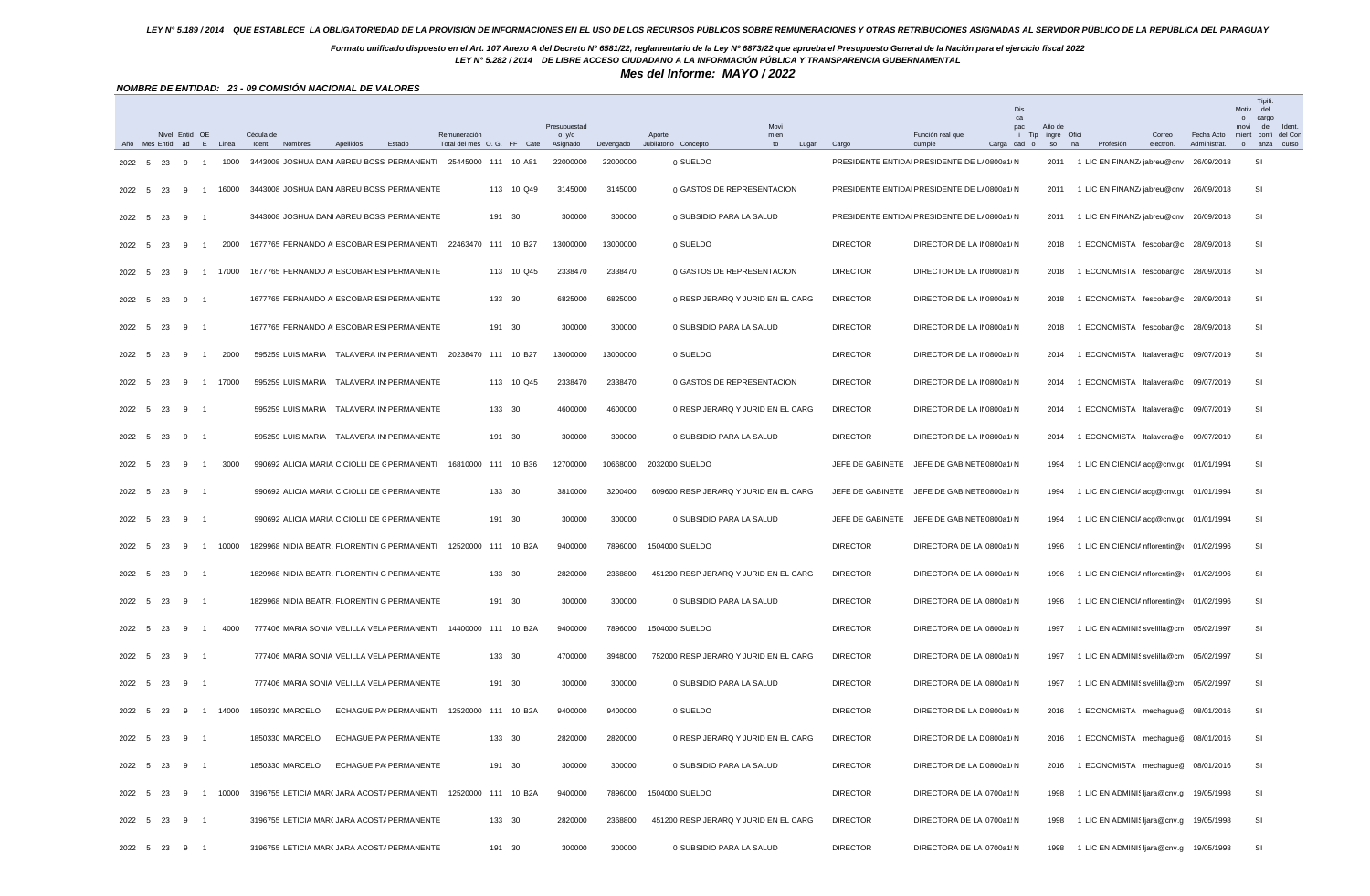## *Formato unificado dispuesto en el Art. 107 Anexo A del Decreto Nº 6581/22, reglamentario de la Ley Nº 6873/22 que aprueba el Presupuesto General de la Nación para el ejercicio fiscal 2022*

*LEY N° 5.282 / 2014 DE LIBRE ACCESO CIUDADANO A LA INFORMACIÓN PÚBLICA Y TRANSPARENCIA GUBERNAMENTAL*

*Mes del Informe: MAYO / 2022*

|        |             |    |                               |                                  | NOMBRE DE ENTIDAD: 23 - 09 COMISIÓN NACIONAL DE VALORES          |           |                              |              |                                                   |                            |                       |                                                 |                                                        |                            |                  |                             |                                                          |           |             |                                                                                        |
|--------|-------------|----|-------------------------------|----------------------------------|------------------------------------------------------------------|-----------|------------------------------|--------------|---------------------------------------------------|----------------------------|-----------------------|-------------------------------------------------|--------------------------------------------------------|----------------------------|------------------|-----------------------------|----------------------------------------------------------|-----------|-------------|----------------------------------------------------------------------------------------|
|        |             |    | Nivel Entid OE                |                                  | Cédula de                                                        |           |                              | Remuneración |                                                   | Presupuestad<br>$o$ y/ $o$ |                       | Movi<br>Aporte<br>mien                          |                                                        | Función real que           | Dis<br>ca<br>pac | Año de<br>i Tip ingre Ofici |                                                          | Correo    | Fecha Acto  | <b>Tipifi</b><br>Motiv<br>del<br>o cargo<br>movi<br>de<br>Ident<br>mient confi del Cor |
| 2022   | - 5         | 23 | -9                            | Año Mes Entid ad E Linea<br>1000 | Ident. Nombres<br>3443008 JOSHUA DANI ABREU BOSS PERMANENTI      | Apellidos | Estado                       |              | Total del mes O.G. FF Cate<br>25445000 111 10 A81 | Asignado<br>22000000       | Devengado<br>22000000 | Jubilatorio Concepto<br>to<br>Lugar<br>0 SUELDO | Cargo<br>PRESIDENTE ENTIDAI PRESIDENTE DE L/ 0800a1/ N | cumple                     | Carga dad o      | so<br>2011                  | na<br>Profesión<br>1 LIC EN FINANZ/jabreu@cnv 26/09/2018 | electron. | Administrat | anza curso<br>$\circ$<br>SI                                                            |
|        |             |    |                               |                                  |                                                                  |           |                              |              |                                                   |                            |                       |                                                 |                                                        |                            |                  |                             |                                                          |           |             |                                                                                        |
| 2022   | - 5         | 23 | 9<br>$\overline{1}$           | 16000                            | 3443008 JOSHUA DANI ABREU BOSS PERMANENTE                        |           |                              |              | 113 10 Q49                                        | 3145000                    | 3145000               | 0 GASTOS DE REPRESENTACION                      | PRESIDENTE ENTIDAI PRESIDENTE DE L/ 0800a1/ N          |                            |                  | 2011                        | 1 LIC EN FINANZ/jabreu@cnv 26/09/2018                    |           |             | SI                                                                                     |
| 2022 5 |             | 23 | 9                             |                                  | 3443008 JOSHUA DANI ABREU BOSS PERMANENTE                        |           |                              |              | 191 30                                            | 300000                     | 300000                | 0 SUBSIDIO PARA LA SALUD                        | PRESIDENTE ENTIDAI PRESIDENTE DE L/ 0800a1/ N          |                            |                  | 2011                        | 1 LIC EN FINANZ/jabreu@cnv 26/09/2018                    |           |             | SI                                                                                     |
|        | 2022 5      | 23 | 9<br>$\overline{1}$           | 2000                             | 1677765 FERNANDO AI ESCOBAR ESI PERMANENTI 22463470 111 10 B27   |           |                              |              |                                                   | 13000000                   | 13000000              | 0 SUELDO                                        | <b>DIRECTOR</b>                                        | DIRECTOR DE LA Il 0800a1 N |                  | 2018                        | 1 ECONOMISTA fescobar@c 28/09/2018                       |           |             | SI                                                                                     |
| 2022   | 5           | 23 | 9<br>$\overline{1}$           | 17000                            | 1677765 FERNANDO AI ESCOBAR ESI PERMANENTE                       |           |                              |              | 113 10 Q45                                        | 2338470                    | 2338470               | 0 GASTOS DE REPRESENTACION                      | <b>DIRECTOR</b>                                        | DIRECTOR DE LA II 0800a1 N |                  | 2018                        | 1 ECONOMISTA fescobar@c 28/09/2018                       |           |             | SI                                                                                     |
| 2022 5 |             | 23 | 9<br>- 1                      |                                  | 1677765 FERNANDO AI ESCOBAR ESI PERMANENTE                       |           |                              |              | 133 30                                            | 6825000                    | 6825000               | 0 RESP JERARQ Y JURID EN EL CARG                | <b>DIRECTOR</b>                                        | DIRECTOR DE LA Il 0800a1 N |                  | 2018                        | 1 ECONOMISTA fescobar@c 28/09/2018                       |           |             | SI                                                                                     |
| 2022 5 |             | 23 | 9                             |                                  | 1677765 FERNANDO AI ESCOBAR ESI PERMANENTE                       |           |                              |              | 191 30                                            | 300000                     | 300000                | 0 SUBSIDIO PARA LA SALUD                        | <b>DIRECTOR</b>                                        | DIRECTOR DE LA II 0800a1 N |                  | 2018                        | 1 ECONOMISTA fescobar@c 28/09/2018                       |           |             | SI                                                                                     |
| 2022 5 |             | 23 | -9<br>$\overline{1}$          | 2000                             | 595259 LUIS MARIA TALAVERA IN: PERMANENTI 20238470 111 10 B27    |           |                              |              |                                                   | 13000000                   | 13000000              | 0 SUELDO                                        | <b>DIRECTOR</b>                                        | DIRECTOR DE LA Il 0800a1 N |                  | 2014                        | 1 ECONOMISTA Italavera@c 09/07/2019                      |           |             | SI                                                                                     |
| 2022   | 5           | 23 | 9<br>$\overline{1}$           | 17000                            | 595259 LUIS MARIA TALAVERA IN: PERMANENTE                        |           |                              |              | 113 10 Q45                                        | 2338470                    | 2338470               | 0 GASTOS DE REPRESENTACION                      | <b>DIRECTOR</b>                                        | DIRECTOR DE LA Il 0800a1 N |                  | 2014                        | 1 ECONOMISTA Italavera@c 09/07/2019                      |           |             | SI                                                                                     |
|        | 2022 5      | 23 | 9 1                           |                                  | 595259 LUIS MARIA TALAVERA IN: PERMANENTE                        |           |                              |              | 133 30                                            | 4600000                    | 4600000               | 0 RESP JERARQ Y JURID EN EL CARG                | <b>DIRECTOR</b>                                        | DIRECTOR DE LA Il 0800a1 N |                  | 2014                        | 1 ECONOMISTA Italavera@c 09/07/2019                      |           |             | SI                                                                                     |
| 2022 5 |             | 23 | 9                             |                                  | 595259 LUIS MARIA TALAVERA IN: PERMANENTE                        |           |                              |              | 191 30                                            | 300000                     | 300000                | 0 SUBSIDIO PARA LA SALUD                        | <b>DIRECTOR</b>                                        | DIRECTOR DE LA Il 0800a1 N |                  | 2014                        | 1 ECONOMISTA Italavera@c 09/07/2019                      |           |             | SI                                                                                     |
| 2022 5 |             | 23 | 9<br>$\overline{1}$           | 3000                             | 990692 ALICIA MARIA CICIOLLI DE C PERMANENTI 16810000 111 10 B36 |           |                              |              |                                                   | 12700000                   | 10668000              | 2032000 SUELDO                                  | JEFE DE GABINETE JEFE DE GABINETE 0800a1LN             |                            |                  | 1994                        | 1 LIC EN CIENCIA acg@cnv.go 01/01/1994                   |           |             | -SI                                                                                    |
| 2022 5 |             | 23 | 9                             |                                  | 990692 ALICIA MARIA CICIOLLI DE C PERMANENTE                     |           |                              |              | 133 30                                            | 3810000                    | 3200400               | 609600 RESP JERARQ Y JURID EN EL CARG           | JEFE DE GABINETE                                       | JEFE DE GABINETE 0800a1 N  |                  | 1994                        | 1 LIC EN CIENCIA acg@cnv.go 01/01/1994                   |           |             | SI                                                                                     |
| 2022 5 |             | 23 | 9<br>- 1                      |                                  | 990692 ALICIA MARIA CICIOLLI DE C PERMANENTE                     |           |                              |              | 191 30                                            | 300000                     | 300000                | 0 SUBSIDIO PARA LA SALUD                        | JEFE DE GABINETE JEFE DE GABINETE 0800a1 N             |                            |                  | 1994                        | 1 LIC EN CIENCIA acg@cnv.go 01/01/1994                   |           |             | SI                                                                                     |
| 2022   | 5           | 23 | -9<br>$\overline{1}$          | 10000                            | 1829968 NIDIA BEATRI. FLORENTIN G PERMANENTI                     |           |                              |              | 12520000 111 10 B2A                               | 9400000                    | 7896000               | 1504000 SUELDO                                  | <b>DIRECTOR</b>                                        | DIRECTORA DE LA 0800a1/N   |                  | 1996                        | 1 LIC EN CIENCIA nflorentin@( 01/02/1996                 |           |             | SI                                                                                     |
| 2022 5 |             | 23 | 9                             |                                  | 1829968 NIDIA BEATRI. FLORENTIN G PERMANENTE                     |           |                              |              | 133 30                                            | 2820000                    | 2368800               | 451200 RESP JERARQ Y JURID EN EL CARG           | <b>DIRECTOR</b>                                        | DIRECTORA DE LA 0800a1/N   |                  | 1996                        | 1 LIC EN CIENCIA nflorentin@(01/02/1996                  |           |             | SI                                                                                     |
| 2022   | 5           | 23 | 9<br>$\overline{\phantom{0}}$ |                                  | 1829968 NIDIA BEATRI. FLORENTIN G PERMANENTE                     |           |                              |              | 191 30                                            | 300000                     | 300000                | 0 SUBSIDIO PARA LA SALUD                        | <b>DIRECTOR</b>                                        | DIRECTORA DE LA 0800a1 N   |                  | 1996                        | 1 LIC EN CIENCIA nflorentin@ 01/02/1996                  |           |             | SI                                                                                     |
| 2022   | - 5         | 23 | -9<br>$\overline{1}$          | 4000                             | 777406 MARIA SONIA VELILLA VELA PERMANENTI                       |           |                              |              | 14400000 111 10 B2A                               | 9400000                    | 7896000               | 1504000 SUELDO                                  | <b>DIRECTOR</b>                                        | DIRECTORA DE LA 0800a1 N   |                  | 1997                        | 1 LIC EN ADMINIS svelilla@cn 05/02/1997                  |           |             | SI                                                                                     |
| 2022   | 5           | 23 | 9 1                           |                                  | 777406 MARIA SONIA VELILLA VELA PERMANENTE                       |           |                              |              | 133 30                                            | 4700000                    | 3948000               | 752000 RESP JERARQ Y JURID EN EL CARG           | <b>DIRECTOR</b>                                        | DIRECTORA DE LA 0800a1 N   |                  | 1997                        | 1 LIC EN ADMINIS svelilla@cnv 05/02/1997                 |           |             | SI                                                                                     |
| 2022 5 |             | 23 | $9 \quad 1$                   |                                  | 777406 MARIA SONIA VELILLA VELA PERMANENTE                       |           |                              |              | 191 30                                            | 300000                     | 300000                | 0 SUBSIDIO PARA LA SALUD                        | <b>DIRECTOR</b>                                        | DIRECTORA DE LA 0800a1/N   |                  | 1997                        | 1 LIC EN ADMINIS svelilla@cnv 05/02/1997                 |           |             | SI                                                                                     |
| 2022 5 |             | 23 | 9                             | 1 14000                          | 1850330 MARCELO                                                  |           | ECHAGUE PA PERMANENTI        |              | 12520000 111 10 B2A                               | 9400000                    | 9400000               | 0 SUELDO                                        | <b>DIRECTOR</b>                                        | DIRECTOR DE LA D 0800a1 N  |                  | 2016                        | 1 ECONOMISTA mechague@ 08/01/2016                        |           |             | SI                                                                                     |
|        |             |    | 2022 5 23 9 1                 |                                  | 1850330 MARCELO                                                  |           | <b>ECHAGUE PA PERMANENTE</b> |              | 133 30                                            | 2820000                    | 2820000               | 0 RESP JERARQ Y JURID EN EL CARG                | <b>DIRECTOR</b>                                        | DIRECTOR DE LA D 0800a1/N  |                  |                             | 2016 1 ECONOMISTA mechague@ 08/01/2016                   |           |             | SI.                                                                                    |
|        | 2022 5 23 9 |    | - 1                           |                                  | 1850330 MARCELO                                                  |           | ECHAGUE PA PERMANENTE        |              | 191 30                                            | 300000                     | 300000                | 0 SUBSIDIO PARA LA SALUD                        | <b>DIRECTOR</b>                                        | DIRECTOR DE LA D 0800a1/ N |                  | 2016                        | 1 ECONOMISTA mechague@ 08/01/2016                        |           |             | SI                                                                                     |
|        | 2022 5      | 23 | 9 1                           | 10000                            | 3196755 LETICIA MAR(JARA ACOST/ PERMANENTI 12520000 111 10 B2A   |           |                              |              |                                                   | 9400000                    | 7896000               | 1504000 SUELDO                                  | <b>DIRECTOR</b>                                        | DIRECTORA DE LA 0700a1: N  |                  | 1998                        | 1 LIC EN ADMINIS ljara@cnv.g 19/05/1998                  |           |             | SI                                                                                     |
|        | 2022 5      | 23 | 9 1                           |                                  | 3196755 LETICIA MAR( JARA ACOST/ PERMANENTE                      |           |                              |              | 133 30                                            | 2820000                    | 2368800               | 451200 RESP JERARQ Y JURID EN EL CARG           | <b>DIRECTOR</b>                                        | DIRECTORA DE LA 0700a1: N  |                  | 1998                        | 1 LIC EN ADMINIS ljara@cnv.g 19/05/1998                  |           |             | SI                                                                                     |
|        |             |    | 2022 5 23 9 1                 |                                  | 3196755 LETICIA MAR( JARA ACOST/ PERMANENTE                      |           |                              |              | 191 30                                            | 300000                     | 300000                | 0 SUBSIDIO PARA LA SALUD                        | <b>DIRECTOR</b>                                        | DIRECTORA DE LA 0700a1: N  |                  | 1998                        | 1 LIC EN ADMINIS ljara@cnv.g 19/05/1998                  |           |             | SI                                                                                     |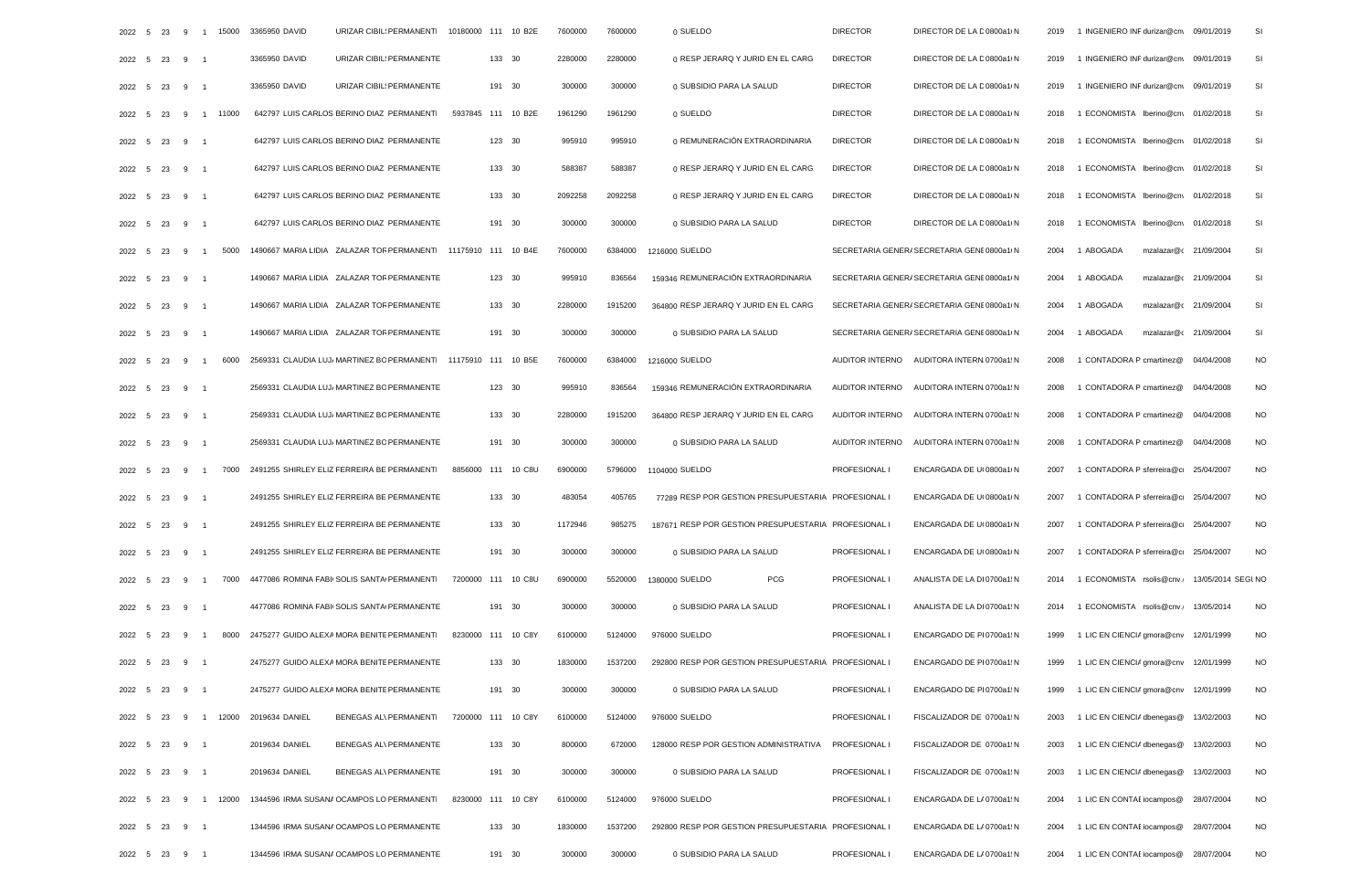|        | 2022 5 23     |             |                | 9 1 15000 | 3365950 DAVID<br>URIZAR CIBIL: PERMANENTI                      | 10180000 111 10 B2E | 7600000 | 7600000 | 0 SUELDO                                             | <b>DIRECTOR</b> | DIRECTOR DE LA D 0800a1 N                   | 2019 | 1 INGENIERO INF durizar@cny                | 09/01/2019 | SI        |
|--------|---------------|-------------|----------------|-----------|----------------------------------------------------------------|---------------------|---------|---------|------------------------------------------------------|-----------------|---------------------------------------------|------|--------------------------------------------|------------|-----------|
| 2022 5 | 23            | $9 \quad 1$ |                |           | URIZAR CIBIL: PERMANENTE<br>3365950 DAVID                      | 133 30              | 2280000 | 2280000 | 0 RESP JERARQ Y JURID EN EL CARG                     | <b>DIRECTOR</b> | DIRECTOR DE LA D 0800a1/ N                  | 2019 | 1 INGENIERO INF durizar@cn\                | 09/01/2019 | SI        |
| 2022 5 | 23            | 9           | $\overline{1}$ |           | 3365950 DAVID<br>URIZAR CIBIL: PERMANENTE                      | 191 30              | 300000  | 300000  | 0 SUBSIDIO PARA LA SALUD                             | <b>DIRECTOR</b> | DIRECTOR DE LA D 0800a1/ N                  | 2019 | 1 INGENIERO INF durizar@cn\                | 09/01/2019 | SI        |
| 2022 5 | 23            | 9           |                | 1 11000   | 642797 LUIS CARLOS BERINO DIAZ PERMANENTI                      | 5937845 111 10 B2E  | 1961290 | 1961290 | 0 SUELDO                                             | <b>DIRECTOR</b> | DIRECTOR DE LA D 0800a1/ N                  | 2018 | 1 ECONOMISTA Iberino@cn\ 01/02/2018        |            | SI        |
| 2022 5 | 23            | 9 1         |                |           | 642797 LUIS CARLOS BERINO DIAZ PERMANENTE                      | 123 30              | 995910  | 995910  | 0 REMUNERACIÓN EXTRAORDINARIA                        | <b>DIRECTOR</b> | DIRECTOR DE LA D 0800a1 N                   | 2018 | 1 ECONOMISTA Iberino@cn\ 01/02/2018        |            | SI        |
| 2022 5 | 23            | 9 1         |                |           | 642797 LUIS CARLOS BERINO DIAZ PERMANENTE                      | 133 30              | 588387  | 588387  | 0 RESP JERARQ Y JURID EN EL CARG                     | <b>DIRECTOR</b> | DIRECTOR DE LA D 0800a1/ N                  | 2018 | 1 ECONOMISTA Iberino@cn\ 01/02/2018        |            | SI        |
| 2022 5 | 23            | $9 \quad 1$ |                |           | 642797 LUIS CARLOS BERINO DIAZ PERMANENTE                      | 133 30              | 2092258 | 2092258 | 0 RESP JERARQ Y JURID EN EL CARG                     | <b>DIRECTOR</b> | DIRECTOR DE LA D 0800a1/ N                  | 2018 | 1 ECONOMISTA Iberino@cn\ 01/02/2018        |            | SI        |
|        | 2022 5 23     | $9 \quad 1$ |                |           | 642797 LUIS CARLOS BERINO DIAZ PERMANENTE                      | 191 30              | 300000  | 300000  | 0 SUBSIDIO PARA LA SALUD                             | <b>DIRECTOR</b> | DIRECTOR DE LA D 0800a1/ N                  | 2018 | 1 ECONOMISTA Iberino@cn\ 01/02/2018        |            | SI        |
| 2022 5 | 23            | 9           | $\overline{1}$ | 5000      | 1490667 MARIA LIDIA ZALAZAR TOF PERMANENTI 11175910 111 10 B4E |                     | 7600000 | 6384000 | 1216000 SUELDO                                       |                 | SECRETARIA GENER/ SECRETARIA GENE 0800a1/ N | 2004 | 1 ABOGADA<br>mzalazar@c                    | 21/09/2004 | SI        |
| 2022 5 | 23            | 9 1         |                |           | 1490667 MARIA LIDIA ZALAZAR TOF PERMANENTE                     | 123 30              | 995910  | 836564  | 159346 REMUNERACIÓN EXTRAORDINARIA                   |                 | SECRETARIA GENER/ SECRETARIA GENE 0800a1/ N | 2004 | 1 ABOGADA<br>mzalazar@c                    | 21/09/2004 | SI        |
| 2022 5 | 23            | 9           |                |           | 1490667 MARIA LIDIA ZALAZAR TOF PERMANENTE                     | 133 30              | 2280000 | 1915200 | 364800 RESP JERARQ Y JURID EN EL CARG                |                 | SECRETARIA GENER/ SECRETARIA GENE 0800a1/ N | 2004 | 1 ABOGADA<br>mzalazar@c                    | 21/09/2004 | SI        |
| 2022 5 | 23            | 9 1         |                |           | 1490667 MARIA LIDIA ZALAZAR TOF PERMANENTE                     | 191 30              | 300000  | 300000  | 0 SUBSIDIO PARA LA SALUD                             |                 | SECRETARIA GENER/ SECRETARIA GENE 0800a1/ N | 2004 | 1 ABOGADA<br>mzalazar@c                    | 21/09/2004 | SI        |
| 2022 5 | 23            | 9           |                | 6000      | 2569331 CLAUDIA LUJ/ MARTINEZ BC PERMANENTI                    | 11175910 111 10 B5E | 7600000 | 6384000 | 1216000 SUELDO                                       |                 | AUDITOR INTERNO AUDITORA INTERN 0700a1: N   | 2008 | 1 CONTADORA P cmartinez@                   | 04/04/2008 | <b>NO</b> |
| 2022 5 | 23            | $9 \quad 1$ |                |           | 2569331 CLAUDIA LUJ/ MARTINEZ BC PERMANENTE                    | 123 30              | 995910  | 836564  | 159346 REMUNERACIÓN EXTRAORDINARIA                   |                 | AUDITOR INTERNO AUDITORA INTERN 0700a1: N   | 2008 | 1 CONTADORA P cmartinez@ 04/04/2008        |            | <b>NO</b> |
| 2022 5 | 23            | 9 1         |                |           | 2569331 CLAUDIA LUJ/ MARTINEZ BC PERMANENTE                    | 133 30              | 2280000 | 1915200 | 364800 RESP JERARQ Y JURID EN EL CARG                | AUDITOR INTERNO | AUDITORA INTERN 0700a1: N                   | 2008 | 1 CONTADORA P cmartinez@                   | 04/04/2008 | <b>NO</b> |
| 2022 5 | 23            | $9 \quad 1$ |                |           | 2569331 CLAUDIA LUJ/ MARTINEZ BC PERMANENTE                    | 191 30              | 300000  | 300000  | 0 SUBSIDIO PARA LA SALUD                             |                 | AUDITOR INTERNO AUDITORA INTERN 0700a1: N   | 2008 | 1 CONTADORA P cmartinez@ 04/04/2008        |            | <b>NO</b> |
| 2022 5 | 23            | 9 1         |                | 7000      | 2491255 SHIRLEY ELIZ FERREIRA BE PERMANENTI                    | 8856000 111 10 C8U  | 6900000 | 5796000 | 1104000 SUELDO                                       | PROFESIONAL I   | ENCARGADA DE U(0800a1 N                     | 2007 | 1 CONTADORA P sferreira@ci 25/04/2007      |            | <b>NO</b> |
| 2022 5 | 23            | 9 1         |                |           | 2491255 SHIRLEY ELIZ FERREIRA BE PERMANENTE                    | 133 30              | 483054  | 405765  | 77289 RESP POR GESTION PRESUPUESTARIA PROFESIONAL I  |                 | ENCARGADA DE U( 0800a1/ N                   | 2007 | 1 CONTADORA P sferreira@ci                 | 25/04/2007 | <b>NO</b> |
| 2022 5 | 23            | 9 1         |                |           | 2491255 SHIRLEY ELIZ FERREIRA BE PERMANENTE                    | 133 30              | 1172946 | 985275  | 187671 RESP POR GESTION PRESUPUESTARIA PROFESIONAL I |                 | ENCARGADA DE U( 0800a1/ N                   | 2007 | 1 CONTADORA P sferreira@ci 25/04/2007      |            | <b>NO</b> |
| 2022 5 | 23            | 9           | $\overline{1}$ |           | 2491255 SHIRLEY ELIZ FERREIRA BE PERMANENTE                    | 191 30              | 300000  | 300000  | 0 SUBSIDIO PARA LA SALUD                             | PROFESIONAL I   | ENCARGADA DE U(0800a1/N)                    | 2007 | 1 CONTADORA P sferreira@ci                 | 25/04/2007 | NO.       |
| 2022 5 | 23            | 9           | $\overline{1}$ |           | 7000 4477086 ROMINA FABI(SOLIS SANTA PERMANENTI                | 7200000 111 10 C8U  | 6900000 | 5520000 | <b>PCG</b><br>1380000 SUELDO                         | PROFESIONAL I   | ANALISTA DE LA DI 0700a1: N                 | 2014 | 1 ECONOMISTA rsolis@cnv. 13/05/2014 SEGLNO |            |           |
| 2022 5 | 23            | 9 1         |                |           | 4477086 ROMINA FABI(SOLIS SANTA PERMANENTE                     | 191 30              | 300000  | 300000  | 0 SUBSIDIO PARA LA SALUD                             | PROFESIONAL I   | ANALISTA DE LA DI 0700a1: N                 | 2014 | 1 ECONOMISTA rsolis@cnv.                   | 13/05/2014 | <b>NO</b> |
| 2022   | 5<br>23       | 9 1         |                |           | 8000 2475277 GUIDO ALEXA MORA BENITE PERMANENTI                | 8230000 111 10 C8Y  | 6100000 | 5124000 | 976000 SUELDO                                        | PROFESIONAL I   | ENCARGADO DE PI 0700a1: N                   | 1999 | 1 LIC EN CIENCIA gmora@cnv 12/01/1999      |            | <b>NO</b> |
|        | 2022 5 23 9 1 |             |                |           | 2475277 GUIDO ALEXA MORA BENITE PERMANENTE                     | 133 30              | 1830000 | 1537200 | 292800 RESP POR GESTION PRESUPUESTARIA PROFESIONAL I |                 | ENCARGADO DE PI 0700a1 N                    | 1999 | 1 LIC EN CIENCIA gmora@cnv 12/01/1999      |            | <b>NO</b> |
|        | 2022 5 23 9 1 |             |                |           | 2475277 GUIDO ALEXA MORA BENITE PERMANENTE                     | 191 30              | 300000  | 300000  | 0 SUBSIDIO PARA LA SALUD                             | PROFESIONAL I   | ENCARGADO DE PI 0700a1: N                   | 1999 | 1 LIC EN CIENCIA gmora@cnv 12/01/1999      |            | <b>NO</b> |
|        |               |             |                |           | 2022 5 23 9 1 12000 2019634 DANIEL<br>BENEGAS AL\ PERMANENTI   | 7200000 111 10 C8Y  | 6100000 | 5124000 | 976000 SUELDO                                        | PROFESIONAL I   | FISCALIZADOR DE 0700a1: N                   | 2003 | 1 LIC EN CIENCIA dbenegas @ 13/02/2003     |            | <b>NO</b> |
|        | 2022 5 23 9 1 |             |                |           | 2019634 DANIEL<br>BENEGAS AL\ PERMANENTE                       | 133 30              | 800000  | 672000  | 128000 RESP POR GESTION ADMINISTRATIVA               | PROFESIONAL I   | FISCALIZADOR DE 0700a1: N                   | 2003 | 1 LIC EN CIENCIA dbenegas @ 13/02/2003     |            | <b>NO</b> |
|        | 2022 5 23     | $9 \quad 1$ |                |           | 2019634 DANIEL<br>BENEGAS AL\ PERMANENTE                       | 191 30              | 300000  | 300000  | 0 SUBSIDIO PARA LA SALUD                             | PROFESIONAL I   | FISCALIZADOR DE 0700a1: N                   | 2003 | 1 LIC EN CIENCIA dbenegas@ 13/02/2003      |            | <b>NO</b> |
|        | 2022 5 23     |             |                | 9 1 12000 | 1344596 IRMA SUSANA OCAMPOS LO PERMANENTI                      | 8230000 111 10 C8Y  | 6100000 | 5124000 | 976000 SUELDO                                        | PROFESIONAL I   | ENCARGADA DE L/ 0700a1 N                    | 2004 | 1 LIC EN CONTAE iocampos @ 28/07/2004      |            | <b>NO</b> |
|        | 2022 5 23     | $9 \quad 1$ |                |           | 1344596 IRMA SUSANA OCAMPOS LO PERMANENTE                      | 133 30              | 1830000 | 1537200 | 292800 RESP POR GESTION PRESUPUESTARIA PROFESIONAL I |                 | ENCARGADA DE L/ 0700a1: N                   | 2004 | 1 LIC EN CONTAE iocampos @ 28/07/2004      |            | <b>NO</b> |
|        | 2022 5 23 9 1 |             |                |           | 1344596 IRMA SUSANA OCAMPOS LO PERMANENTE                      | 191 30              | 300000  | 300000  | 0 SUBSIDIO PARA LA SALUD                             | PROFESIONAL I   | ENCARGADA DE L/ 0700a1: N                   |      | 2004 1 LIC EN CONTAE iocampos @ 28/07/2004 |            | <b>NO</b> |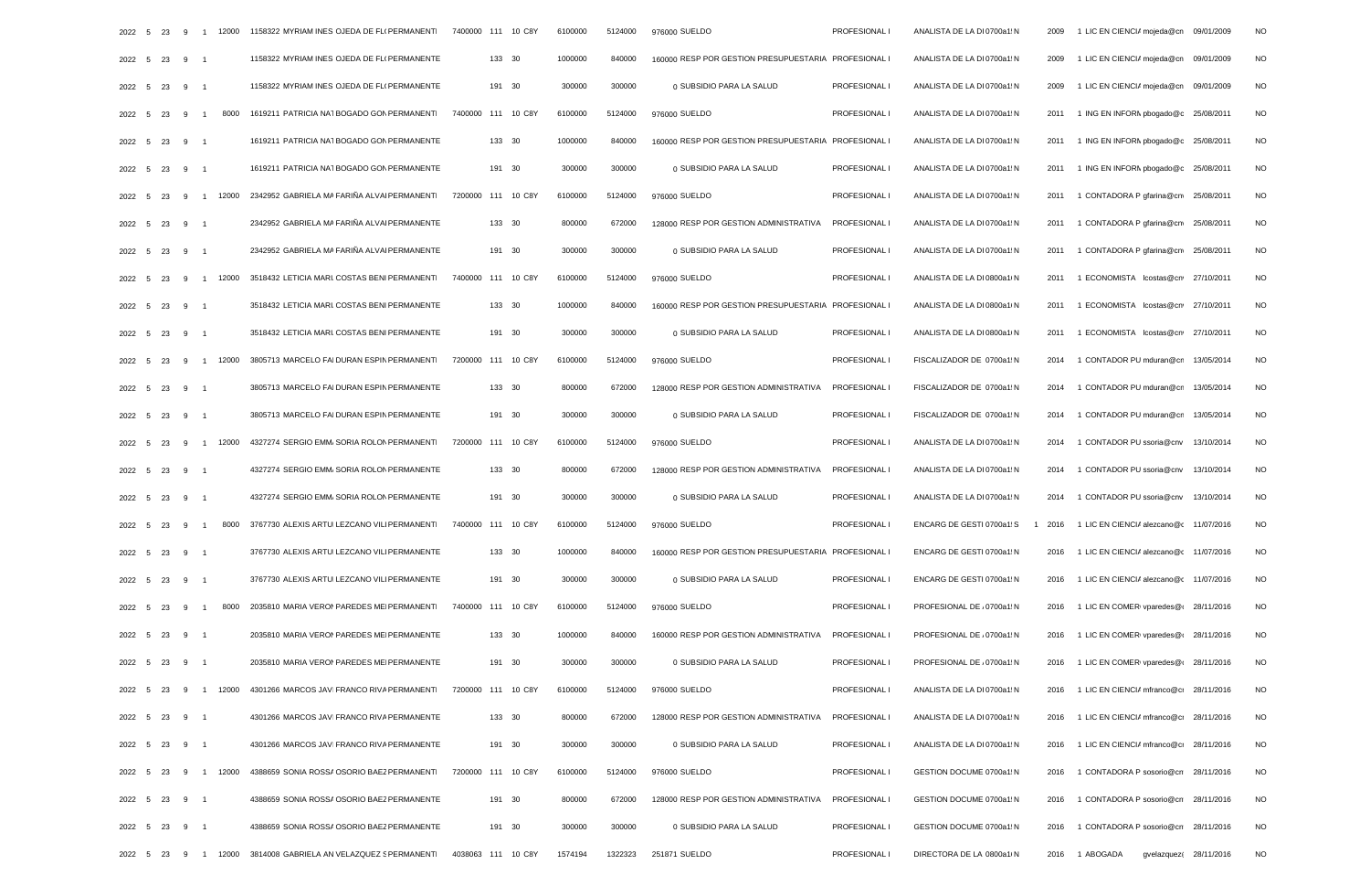| 2022 5        | 23        | 9      | $\overline{1}$ | 12000        | 1158322 MYRIAM INES OJEDA DE FLI PERMANENTI                                      | 7400000 111 10 C8Y | 6100000 | 5124000 | 976000 SUELDO                                        | PROFESIONAL I        | ANALISTA DE LA DI 0700a1: N | 2009 | 1 LIC EN CIENCIA mojeda@cn 09/01/2009       | <b>NO</b> |
|---------------|-----------|--------|----------------|--------------|----------------------------------------------------------------------------------|--------------------|---------|---------|------------------------------------------------------|----------------------|-----------------------------|------|---------------------------------------------|-----------|
| 2022 5        |           | 23 9 1 |                |              | 1158322 MYRIAM INES OJEDA DE FLI PERMANENTE                                      | 133 30             | 1000000 | 840000  | 160000 RESP POR GESTION PRESUPUESTARIA PROFESIONAL I |                      | ANALISTA DE LA DI 0700a1: N | 2009 | 1 LIC EN CIENCIA mojeda@cn 09/01/2009       | <b>NO</b> |
| 2022 5        |           | 23 9 1 |                |              | 1158322 MYRIAM INES OJEDA DE FLI PERMANENTE                                      | 191 30             | 300000  | 300000  | 0 SUBSIDIO PARA LA SALUD                             | PROFESIONAL I        | ANALISTA DE LA DI 0700a1: N | 2009 | 1 LIC EN CIENCIA mojeda@cn 09/01/2009       | <b>NO</b> |
| 2022          | 5<br>23   | 9      | $\overline{1}$ | 8000         | 1619211 PATRICIA NATBOGADO GON PERMANENTI                                        | 7400000 111 10 C8Y | 6100000 | 5124000 | 976000 SUELDO                                        | PROFESIONAL I        | ANALISTA DE LA DI 0700a1: N | 2011 | 1 ING EN INFORM pbogado@c 25/08/2011        | <b>NO</b> |
| 2022 5        |           | 23 9 1 |                |              | 1619211 PATRICIA NATBOGADO GON PERMANENTE                                        | 133 30             | 1000000 | 840000  | 160000 RESP POR GESTION PRESUPUESTARIA PROFESIONAL I |                      | ANALISTA DE LA DI 0700a1: N | 2011 | 1 ING EN INFORN pbogado@c 25/08/2011        | <b>NO</b> |
| 2022 5        | 23        | 9 1    |                |              | 1619211 PATRICIA NATBOGADO GON PERMANENTE                                        | 191 30             | 300000  | 300000  | 0 SUBSIDIO PARA LA SALUD                             | PROFESIONAL I        | ANALISTA DE LA DI 0700a1: N | 2011 | 1 ING EN INFORN pbogado@c 25/08/2011        | <b>NO</b> |
| 2022 5        | 23        |        |                |              | 9 1 12000 2342952 GABRIELA MA FARIÑA ALVAI PERMANENTI                            | 7200000 111 10 C8Y | 6100000 | 5124000 | 976000 SUELDO                                        | PROFESIONAL I        | ANALISTA DE LA DI 0700a1: N | 2011 | 1 CONTADORA P gfarina@cnv 25/08/2011        | <b>NO</b> |
| 2022 5        |           | 23 9 1 |                |              | 2342952 GABRIELA MA FARIÑA ALVAI PERMANENTE                                      | 133 30             | 800000  | 672000  | 128000 RESP POR GESTION ADMINISTRATIVA               | PROFESIONAL I        | ANALISTA DE LA DI 0700a1: N | 2011 | 1 CONTADORA P gfarina@cn 25/08/2011         | <b>NO</b> |
| 2022 5        |           | 23 9 1 |                |              | 2342952 GABRIELA MA FARIÑA ALVAI PERMANENTE                                      | 191 30             | 300000  | 300000  | 0 SUBSIDIO PARA LA SALUD                             | PROFESIONAL I        | ANALISTA DE LA DI 0700a1: N | 2011 | 1 CONTADORA P gfarina@cnv 25/08/2011        | <b>NO</b> |
| 2022          | 5<br>23   | 9      | $\overline{1}$ | 12000        | 3518432 LETICIA MARI COSTAS BENI PERMANENTI                                      | 7400000 111 10 C8Y | 6100000 | 5124000 | 976000 SUELDO                                        | PROFESIONAL I        | ANALISTA DE LA DI 0800a1 N  | 2011 | 1 ECONOMISTA lcostas@cn 27/10/2011          | <b>NO</b> |
| 2022 5        |           | 23 9 1 |                |              | 3518432 LETICIA MARI COSTAS BENI PERMANENTE                                      | 133 30             | 1000000 | 840000  | 160000 RESP POR GESTION PRESUPUESTARIA PROFESIONAL   |                      | ANALISTA DE LA DI 0800a1 N  | 2011 | 1 ECONOMISTA lcostas@cn 27/10/2011          | <b>NO</b> |
| 2022 5        |           | 23 9 1 |                |              | 3518432 LETICIA MARI COSTAS BENI PERMANENTE                                      | 191 30             | 300000  | 300000  | 0 SUBSIDIO PARA LA SALUD                             | PROFESIONAL I        | ANALISTA DE LA DI 0800a1 N  | 2011 | 1 ECONOMISTA lcostas@cn 27/10/2011          | <b>NO</b> |
| 2022          | 23<br>- 5 | 9      | $\overline{1}$ | 12000        | 3805713 MARCELO FAI DURAN ESPIN PERMANENTI                                       | 7200000 111 10 C8Y | 6100000 | 5124000 | 976000 SUELDO                                        | PROFESIONAL I        | FISCALIZADOR DE 0700a1 N    | 2014 | 1 CONTADOR PU mduran@cn 13/05/2014          | <b>NO</b> |
| 2022 5        |           | 23 9 1 |                |              | 3805713 MARCELO FAI DURAN ESPIN PERMANENTE                                       | 133 30             | 800000  | 672000  | 128000 RESP POR GESTION ADMINISTRATIVA               | PROFESIONAL I        | FISCALIZADOR DE 0700a1: N   | 2014 | 1 CONTADOR PU mduran@cn 13/05/2014          | <b>NO</b> |
| 2022 5        | 23        | 9 1    |                |              | 3805713 MARCELO FAI DURAN ESPIN PERMANENTE                                       | 191 30             | 300000  | 300000  | 0 SUBSIDIO PARA LA SALUD                             | PROFESIONAL I        | FISCALIZADOR DE 0700a1 N    | 2014 | 1 CONTADOR PU mduran@cn 13/05/2014          | <b>NO</b> |
| 2022          | 23<br>- 5 |        |                |              | 9 1 12000 4327274 SERGIO EMM/ SORIA ROLON PERMANENTI                             | 7200000 111 10 C8Y | 6100000 | 5124000 | 976000 SUELDO                                        | PROFESIONAL I        | ANALISTA DE LA DI 0700a1: N | 2014 | 1 CONTADOR PU ssoria@cnv 13/10/2014         | <b>NO</b> |
| 2022 5        |           | 23 9 1 |                |              | 4327274 SERGIO EMM/ SORIA ROLON PERMANENTE                                       | 133 30             | 800000  | 672000  | 128000 RESP POR GESTION ADMINISTRATIVA               | PROFESIONAL I        | ANALISTA DE LA DI 0700a1: N | 2014 | 1 CONTADOR PU ssoria@cnv 13/10/2014         | <b>NO</b> |
| 2022 5        |           | 23 9 1 |                |              | 4327274 SERGIO EMM/SORIA ROLON PERMANENTE                                        | 191 30             | 300000  | 300000  | 0 SUBSIDIO PARA LA SALUD                             | PROFESIONAL I        | ANALISTA DE LA DI 0700a1: N | 2014 | 1 CONTADOR PU ssoria@cnv 13/10/2014         | <b>NO</b> |
| 2022 5        | 23        | 9      | $\overline{1}$ | 8000         | 3767730 ALEXIS ARTUI LEZCANO VILI PERMANENTI                                     | 7400000 111 10 C8Y | 6100000 | 5124000 | 976000 SUELDO                                        | PROFESIONAL I        | ENCARG DE GESTI 0700a1: S   | 2016 | 1 LIC EN CIENCIA alezcano@c 11/07/2016      | <b>NO</b> |
| 2022 5        | 23        | 9 1    |                |              | 3767730 ALEXIS ARTUI LEZCANO VILI PERMANENTE                                     | 133 30             | 1000000 | 840000  | 160000 RESP POR GESTION PRESUPUESTARIA PROFESIONAL I |                      | ENCARG DE GESTI 0700a1: N   | 2016 | 1 LIC EN CIENCIA alezcano@c 11/07/2016      | <b>NO</b> |
| 2022 5        |           | 23 9 1 |                |              | 3767730 ALEXIS ARTUI LEZCANO VILI PERMANENTE                                     | 191 30             | 300000  | 300000  | 0 SUBSIDIO PARA LA SALUD                             | PROFESIONAL I        | ENCARG DE GESTI 0700a1 N    | 2016 | 1 LIC EN CIENCIA alezcano@c 11/07/2016      | <b>NO</b> |
| 2022          | 23<br>- 5 | 9      | $\overline{1}$ | 8000         | 2035810 MARIA VERON PAREDES ME PERMANENTI                                        | 7400000 111 10 C8Y | 6100000 | 5124000 | 976000 SUELDO                                        | PROFESIONAL I        | PROFESIONAL DE / 0700a1: N  | 2016 | 1 LIC EN COMERI vparedes@( 28/11/2016       | <b>NO</b> |
| 2022 5        |           | 23 9 1 |                |              | 2035810 MARIA VERON PAREDES ME PERMANENTE                                        | 133 30             | 1000000 | 840000  | 160000 RESP POR GESTION ADMINISTRATIVA               | <b>PROFESIONAL I</b> | PROFESIONAL DE / 0700a1: N  | 2016 | 1 LIC EN COMER(vparedes@(28/11/2016)        | <b>NO</b> |
| 2022 5 23 9 1 |           |        |                |              | 2035810 MARIA VERON PAREDES ME PERMANENTE                                        | 191 30             | 300000  | 300000  | 0 SUBSIDIO PARA LA SALUD                             | PROFESIONAL I        | PROFESIONAL DE / 0700a1: N  | 2016 | 1 LIC EN COMERI vparedes@(28/11/2016        | <b>NO</b> |
|               |           |        |                |              | 2022 5 23 9 1 12000 4301266 MARCOS JAVIFRANCO RIVA PERMANENTI                    | 7200000 111 10 C8Y | 6100000 | 5124000 | 976000 SUELDO                                        | PROFESIONAL I        | ANALISTA DE LA DI 0700a1: N |      | 2016 1 LIC EN CIENCIA mfranco@ci 28/11/2016 | NO        |
| 2022 5 23 9 1 |           |        |                |              | 4301266 MARCOS JAVI FRANCO RIVA PERMANENTE                                       | 133 30             | 800000  | 672000  | 128000 RESP POR GESTION ADMINISTRATIVA PROFESIONAL I |                      | ANALISTA DE LA DI 0700a1: N | 2016 | 1 LIC EN CIENCIA mfranco@ci 28/11/2016      | <b>NO</b> |
| 2022 5 23 9 1 |           |        |                |              | 4301266 MARCOS JAVIFRANCO RIVA PERMANENTE                                        | 191 30             | 300000  | 300000  | 0 SUBSIDIO PARA LA SALUD                             | PROFESIONAL I        | ANALISTA DE LA DI 0700a1: N | 2016 | 1 LIC EN CIENCIA mfranco@cr 28/11/2016      | <b>NO</b> |
| 2022 5        |           |        |                | 23 9 1 12000 | 4388659 SONIA ROSSA OSORIO BAEZ PERMANENTI                                       | 7200000 111 10 C8Y | 6100000 | 5124000 | 976000 SUELDO                                        | PROFESIONAL I        | GESTION DOCUME 0700a1: N    | 2016 | 1 CONTADORA P sosorio@cn 28/11/2016         | <b>NO</b> |
| 2022 5 23 9 1 |           |        |                |              | 4388659 SONIA ROSSA OSORIO BAEZ PERMANENTE                                       | 191 30             | 800000  | 672000  | 128000 RESP POR GESTION ADMINISTRATIVA               | PROFESIONAL I        | GESTION DOCUME 0700a1 N     | 2016 | 1 CONTADORA P sosorio@cn 28/11/2016         | NO        |
| 2022 5 23 9 1 |           |        |                |              | 4388659 SONIA ROSSA OSORIO BAEZ PERMANENTE                                       | 191 30             | 300000  | 300000  | 0 SUBSIDIO PARA LA SALUD                             | PROFESIONAL I        | GESTION DOCUME 0700a1 N     | 2016 | 1 CONTADORA P sosorio@cn 28/11/2016         | <b>NO</b> |
|               |           |        |                |              | 2022 5 23 9 1 12000 3814008 GABRIELA AN VELAZQUEZ S PERMANENT 4038063 111 10 C8Y |                    | 1574194 |         | 1322323 251871 SUELDO                                | PROFESIONAL I        | DIRECTORA DE LA 0800a1/N    |      | 2016 1 ABOGADA   qvelazquez( 28/11/2016     | NO.       |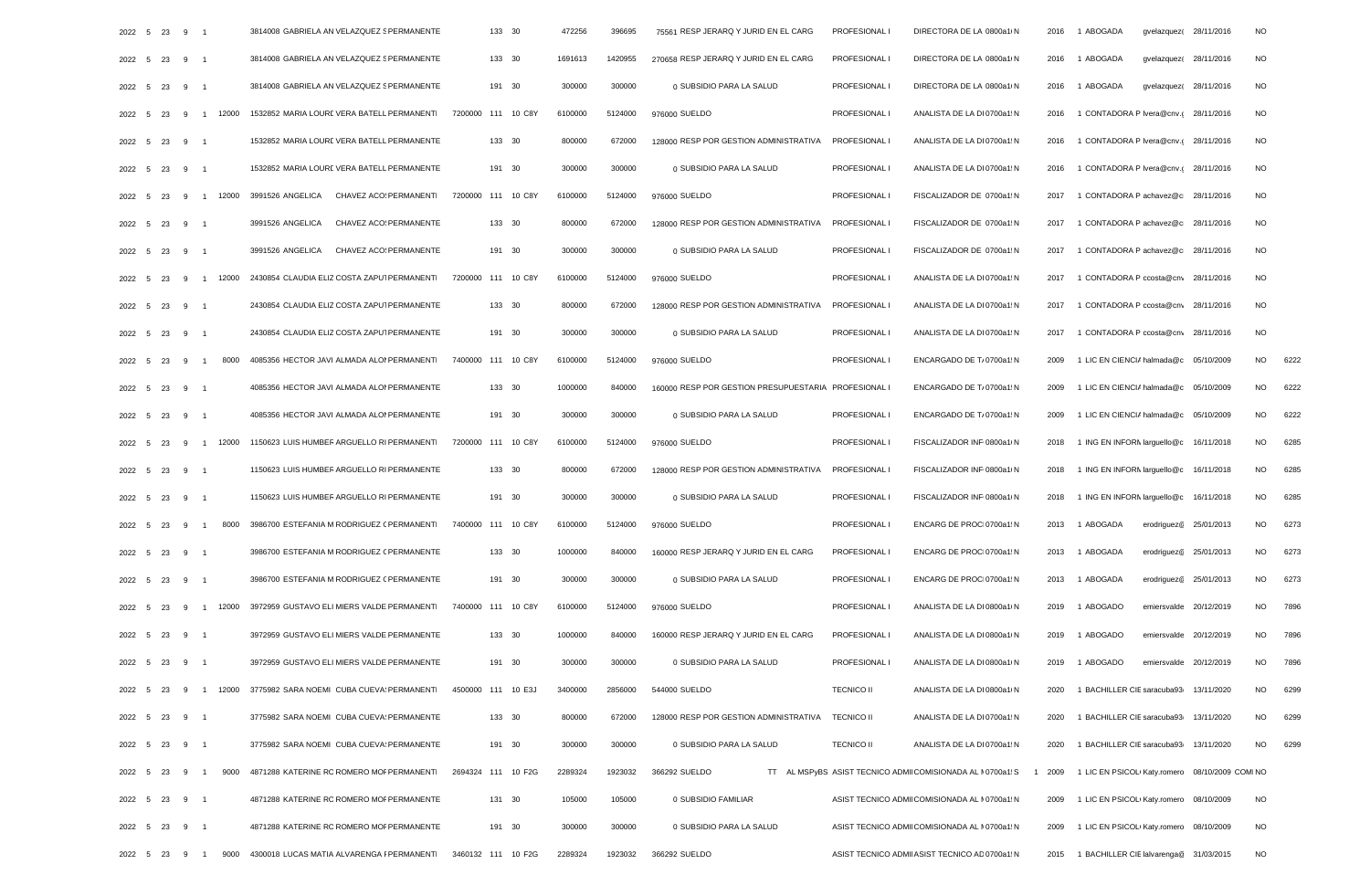|        | 2022 5 23 9   |                                        | 3814008 GABRIELA AN VELAZQUEZ S PERMANENTE                                               | 133 30             | 472256  | 396695  | 75561 RESP JERARQ Y JURID EN EL CARG               | PROFESIONAL I      | DIRECTORA DE LA 0800a1/N                                   | 2016 | 1 ABOGADA                                              | gvelazquez(28/11/2016              | NO.             |      |
|--------|---------------|----------------------------------------|------------------------------------------------------------------------------------------|--------------------|---------|---------|----------------------------------------------------|--------------------|------------------------------------------------------------|------|--------------------------------------------------------|------------------------------------|-----------------|------|
|        | 2022 5 23 9 1 |                                        | 3814008 GABRIELA AN VELAZQUEZ § PERMANENTE                                               | 133 30             | 1691613 | 1420955 | 270658 RESP JERARQ Y JURID EN EL CARG              | PROFESIONAL I      | DIRECTORA DE LA 0800a1 N                                   |      | 2016 1 ABOGADA                                         | gvelazquez(28/11/2016              | <b>NO</b>       |      |
|        | 2022 5 23 9   |                                        | 3814008 GABRIELA AN VELAZQUEZ S PERMANENTE                                               | 191 30             | 300000  | 300000  | 0 SUBSIDIO PARA LA SALUD                           | PROFESIONAL        | DIRECTORA DE LA 0800a1 N                                   | 2016 | 1 ABOGADA                                              | gvelazquez(28/11/2016              | <b>NO</b>       |      |
|        | 2022 5 23     | 1 12000<br>- 9                         | 1532852 MARIA LOURE VERA BATELL PERMANENTI                                               | 7200000 111 10 C8Y | 6100000 | 5124000 | 976000 SUELDO                                      | PROFESIONAL I      | ANALISTA DE LA DI 0700a1 N                                 | 2016 | 1 CONTADORA P Ivera@cnv.(28/11/2016                    |                                    | <b>NO</b>       |      |
|        | 2022 5 23     | 9                                      | 1532852 MARIA LOURE VERA BATELL PERMANENTE                                               | 133 30             | 800000  | 672000  | 128000 RESP POR GESTION ADMINISTRATIVA             | <b>PROFESIONAL</b> | ANALISTA DE LA DI 0700a1: N                                | 2016 | 1 CONTADORA P Ivera@cnv.c 28/11/2016                   |                                    | <b>NO</b>       |      |
|        | 2022 5 23     | 9                                      | 1532852 MARIA LOURE VERA BATELL PERMANENTE                                               | 191 30             | 300000  | 300000  | 0 SUBSIDIO PARA LA SALUD                           | PROFESIONAL I      | ANALISTA DE LA DI 0700a1: N                                | 2016 | 1 CONTADORA P Ivera@cnv.c 28/11/2016                   |                                    | <b>NO</b>       |      |
|        | 2022 5 23     | - 9                                    | 1 12000 3991526 ANGELICA CHAVEZ ACO: PERMANENTI                                          | 7200000 111 10 C8Y | 6100000 | 5124000 | 976000 SUELDO                                      | PROFESIONAL I      | FISCALIZADOR DE 0700a1: N                                  | 2017 | 1 CONTADORA P achavez@c 28/11/2016                     |                                    | <b>NO</b>       |      |
|        | 2022 5 23     | - 9                                    | 3991526 ANGELICA<br>CHAVEZ ACO: PERMANENTE                                               | 133 30             | 800000  | 672000  | 128000 RESP POR GESTION ADMINISTRATIVA             | <b>PROFESIONAL</b> | FISCALIZADOR DE 0700a1: N                                  | 2017 | 1 CONTADORA P achavez@c 28/11/2016                     |                                    | <b>NO</b>       |      |
|        | 2022 5 23 9   | $\overline{\phantom{1}}$               | 3991526 ANGELICA CHAVEZ ACO: PERMANENTE                                                  | 191 30             | 300000  | 300000  | 0 SUBSIDIO PARA LA SALUD                           | PROFESIONAL I      | FISCALIZADOR DE 0700a1 N                                   | 2017 | 1 CONTADORA P achavez@c 28/11/2016                     |                                    | <b>NO</b>       |      |
|        | 2022 5 23     | 12000<br>9                             | 2430854 CLAUDIA ELIZ COSTA ZAPUT PERMANENTI                                              | 7200000 111 10 C8Y | 6100000 | 5124000 | 976000 SUELDO                                      | PROFESIONAL        | ANALISTA DE LA DI 0700a1: N                                | 2017 | 1 CONTADORA P ccosta@cnv 28/11/2016                    |                                    | <b>NO</b>       |      |
|        | 2022 5 23     | 9                                      | 2430854 CLAUDIA ELIZ COSTA ZAPUT PERMANENTE                                              | 133 30             | 800000  | 672000  | 128000 RESP POR GESTION ADMINISTRATIVA PROFESIONAL |                    | ANALISTA DE LA DI 0700a1: N                                |      | 2017 1 CONTADORA P ccosta@cnv 28/11/2016               |                                    | <b>NO</b>       |      |
|        | 2022 5 23 9   | - 1                                    | 2430854 CLAUDIA ELIZ COSTA ZAPUT PERMANENTE                                              | 191 30             | 300000  | 300000  | 0 SUBSIDIO PARA LA SALUD                           | PROFESIONAL        | ANALISTA DE LA DI 0700a1: N                                | 2017 | 1 CONTADORA P ccosta@cny 28/11/2016                    |                                    | <b>NO</b>       |      |
| 2022 5 | - 23          | 8000<br>$\mathbf{q}$<br>$\overline{1}$ | 4085356 HECTOR JAVI ALMADA ALOI PERMANENTI                                               | 7400000 111 10 C8Y | 6100000 | 5124000 | 976000 SUELDO                                      | PROFESIONAL I      | ENCARGADO DE T/ 0700a1: N                                  | 2009 | 1 LIC EN CIENCIA halmada@c 05/10/2009                  |                                    | <b>NO</b>       | 6222 |
|        | 2022 5 23     | 9                                      | 4085356 HECTOR JAVI ALMADA ALOI PERMANENTE                                               | 133 30             | 1000000 | 840000  | 160000 RESP POR GESTION PRESUPUESTARIA PROFESIONAL |                    | ENCARGADO DE T/ 0700a1: N                                  | 2009 | 1 LIC EN CIENCIA halmada@c 05/10/2009                  |                                    | <b>NO</b>       | 6222 |
|        | 2022 5 23     | 9                                      | 4085356 HECTOR JAVI ALMADA ALOI PERMANENTE                                               | 191 30             | 300000  | 300000  | 0 SUBSIDIO PARA LA SALUD                           | PROFESIONAL I      | ENCARGADO DE T/ 0700a1: N                                  | 2009 | 1 LIC EN CIENCIA halmada@c 05/10/2009                  |                                    | NO.             | 6222 |
|        | 2022 5 23     | 1 12000<br>9                           | 1150623 LUIS HUMBER ARGUELLO RI PERMANENTI                                               | 7200000 111 10 C8Y | 6100000 | 5124000 | 976000 SUELDO                                      | PROFESIONAL I      | FISCALIZADOR INF 0800a1 N                                  | 2018 | 1 ING EN INFORM larguello@c 16/11/2018                 |                                    | NO.             | 6285 |
|        | 2022 5 23     | - 9                                    | 1150623 LUIS HUMBER ARGUELLO RI PERMANENTE                                               | 133 30             | 800000  | 672000  | 128000 RESP POR GESTION ADMINISTRATIVA             | <b>PROFESIONAL</b> | FISCALIZADOR INF 0800a1 N                                  | 2018 | 1 ING EN INFORM larguello@c 16/11/2018                 |                                    | <b>NO</b>       | 6285 |
|        | 2022 5 23     | 9                                      | 1150623 LUIS HUMBER ARGUELLO RI PERMANENTE                                               | 191 30             | 300000  | 300000  | 0 SUBSIDIO PARA LA SALUD                           | PROFESIONAL        | FISCALIZADOR INF 0800a1 N                                  |      | 2018 1 ING EN INFORM larguello@c 16/11/2018            |                                    | <b>NO</b>       | 6285 |
|        | 2022 5 23     | 8000<br>- 9<br>$\overline{1}$          | 3986700 ESTEFANIA M RODRIGUEZ ( PERMANENTI                                               | 7400000 111 10 C8Y | 6100000 | 5124000 | 976000 SUELDO                                      | PROFESIONAL        | ENCARG DE PROCI 0700a1: N                                  |      | 2013 1 ABOGADA                                         | erodriguez@ 25/01/2013             | <b>NO</b>       | 6273 |
|        | 2022 5 23     | 9                                      | 3986700 ESTEFANIA M RODRIGUEZ ( PERMANENTE                                               | 133 30             | 1000000 | 840000  | 160000 RESP JERARQ Y JURID EN EL CARG              | PROFESIONAL I      | ENCARG DE PROC 0700a1: N                                   | 2013 | 1 ABOGADA                                              | erodriguez <sup>@</sup> 25/01/2013 | <b>NO</b>       | 6273 |
|        | 2022 5 23 9   | - 1                                    | 3986700 ESTEFANIA M RODRIGUEZ ( PERMANENTE                                               | 191 30             | 300000  | 300000  | 0 SUBSIDIO PARA LA SALUD                           | PROFESIONAL I      | ENCARG DE PROCI 0700a1: N                                  |      | 2013 1 ABOGADA                                         | erodriguez@ 25/01/2013             | <b>NO</b>       | 6273 |
|        | 2022 5 23     | 12000<br>-9                            | 3972959 GUSTAVO ELI MIERS VALDE PERMANENTI                                               | 7400000 111 10 C8Y | 6100000 | 5124000 | 976000 SUELDO                                      | PROFESIONAL        | ANALISTA DE LA DI 0800a1 N                                 | 2019 | 1 ABOGADO                                              | emiersvalde 20/12/2019             | NO.             | 7896 |
|        | 2022 5 23     | 9                                      | 3972959 GUSTAVO ELI MIERS VALDE PERMANENTE                                               | 133 30             | 1000000 | 840000  | 160000 RESP JERARQ Y JURID EN EL CARG              | PROFESIONAL I      | ANALISTA DE LA DI 0800a1 N                                 | 2019 | 1 ABOGADO                                              | emiersvalde 20/12/2019             | <b>NO</b>       | 7896 |
|        | 2022 5 23 9   |                                        | 3972959 GUSTAVO ELI MIERS VALDE PERMANENTE                                               | 191 30             | 300000  | 300000  | 0 SUBSIDIO PARA LA SALUD                           | PROFESIONAL I      | ANALISTA DE LA DI 0800a1 N                                 | 2019 | 1 ABOGADO                                              | emiersvalde 20/12/2019             | <b>NO</b>       | 7896 |
|        |               |                                        | 2022 5 23 9 1 12000 3775982 SARA NOEMI CUBA CUEVA PERMANENT 4500000 111 10 E3J           |                    | 3400000 | 2856000 | 544000 SUELDO                                      | <b>TECNICO II</b>  | ANALISTA DE LA DI 0800a1 N                                 | 2020 | 1 BACHILLER CIE saracuba93 13/11/2020                  |                                    | <b>NO</b>       | 6299 |
|        | 2022 5 23 9 1 |                                        | 3775982 SARA NOEMI CUBA CUEVA PERMANENTE                                                 | 133 30             | 800000  | 672000  | 128000 RESP POR GESTION ADMINISTRATIVA TECNICO II  |                    | ANALISTA DE LA DI 0700a1: N                                |      | 2020 1 BACHILLER CIE saracuba93 13/11/2020             |                                    | <b>NO</b>       | 6299 |
|        | 2022 5 23 9 1 |                                        | 3775982 SARA NOEMI CUBA CUEVA PERMANENTE                                                 | 191 30             | 300000  | 300000  | 0 SUBSIDIO PARA LA SALUD                           | <b>TECNICO II</b>  | ANALISTA DE LA DI 0700a1: N                                |      | 2020 1 BACHILLER CIE saracuba93 13/11/2020             |                                    | NO <sub>1</sub> | 6299 |
|        |               |                                        | 2022 5 23 9 1 9000 4871288 KATERINE RC ROMERO MOF PERMANENT 2694324 111 10 F2G           |                    | 2289324 | 1923032 | 366292 SUELDO                                      |                    | TT AL MSPyBS ASIST TECNICO ADMII COMISIONADA AL N0700a1: S |      | 1 2009 1 LIC EN PSICOLI Katy.romerc 08/10/2009 COMI NO |                                    |                 |      |
|        | 2022 5 23 9 1 |                                        | 4871288 KATERINE ROROMERO MOF PERMANENTE                                                 | 131 30             | 105000  | 105000  | 0 SUBSIDIO FAMILIAR                                |                    | ASIST TECNICO ADMI COMISIONADA AL IN 0700a1: N             |      | 2009 1 LIC EN PSICOL(Katy.romerc 08/10/2009            |                                    | <b>NO</b>       |      |
|        | 2022 5 23 9 1 |                                        | 4871288 KATERINE RC ROMERO MOF PERMANENTE                                                | 191 30             | 300000  | 300000  | 0 SUBSIDIO PARA LA SALUD                           |                    | ASIST TECNICO ADMI COMISIONADA AL N0700a1: N               | 2009 | 1 LIC EN PSICOL(Katy.romero 08/10/2009                 |                                    | <b>NO</b>       |      |
|        |               |                                        | 2022 5 23 9 1 9000 4300018 LUCAS MATIA ALVARENGA I PERMANENTI 3460132 111 10 F2G 2289324 |                    |         |         | 1923032 366292 SUELDO                              |                    | ASIST TECNICO ADMI ASIST TECNICO AD 0700a1: N              |      | 2015 1 BACHILLER CIE lalvarenga@ 31/03/2015            |                                    | <b>NO</b>       |      |